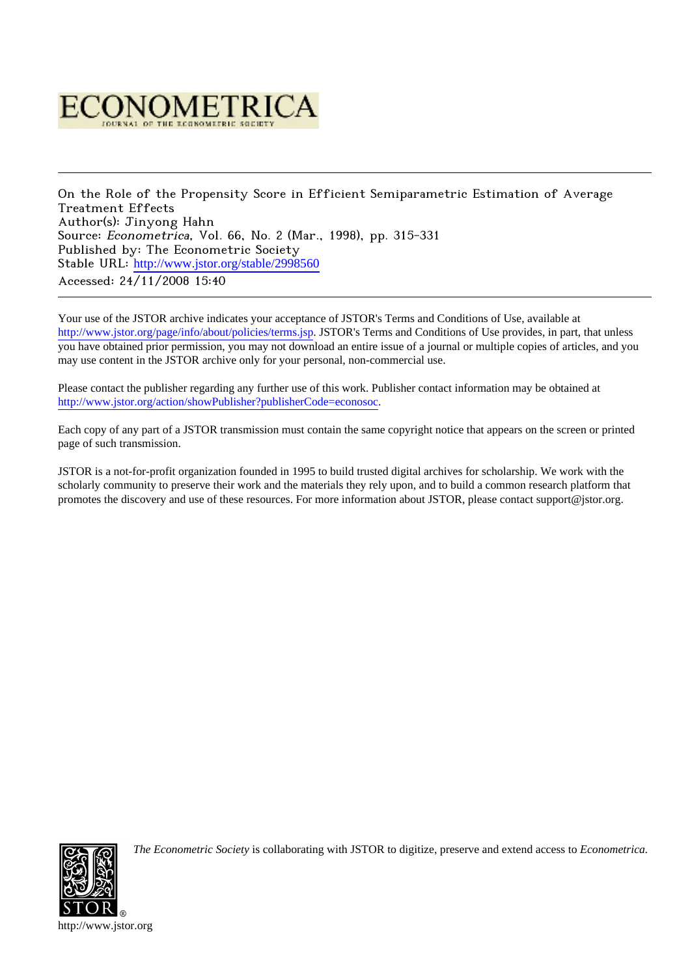

On the Role of the Propensity Score in Efficient Semiparametric Estimation of Average Treatment Effects Author(s): Jinyong Hahn Source: Econometrica, Vol. 66, No. 2 (Mar., 1998), pp. 315-331 Published by: The Econometric Society Stable URL: [http://www.jstor.org/stable/2998560](http://www.jstor.org/stable/2998560?origin=JSTOR-pdf) Accessed: 24/11/2008 15:40

Your use of the JSTOR archive indicates your acceptance of JSTOR's Terms and Conditions of Use, available at <http://www.jstor.org/page/info/about/policies/terms.jsp>. JSTOR's Terms and Conditions of Use provides, in part, that unless you have obtained prior permission, you may not download an entire issue of a journal or multiple copies of articles, and you may use content in the JSTOR archive only for your personal, non-commercial use.

Please contact the publisher regarding any further use of this work. Publisher contact information may be obtained at <http://www.jstor.org/action/showPublisher?publisherCode=econosoc>.

Each copy of any part of a JSTOR transmission must contain the same copyright notice that appears on the screen or printed page of such transmission.

JSTOR is a not-for-profit organization founded in 1995 to build trusted digital archives for scholarship. We work with the scholarly community to preserve their work and the materials they rely upon, and to build a common research platform that promotes the discovery and use of these resources. For more information about JSTOR, please contact support@jstor.org.



*The Econometric Society* is collaborating with JSTOR to digitize, preserve and extend access to *Econometrica.*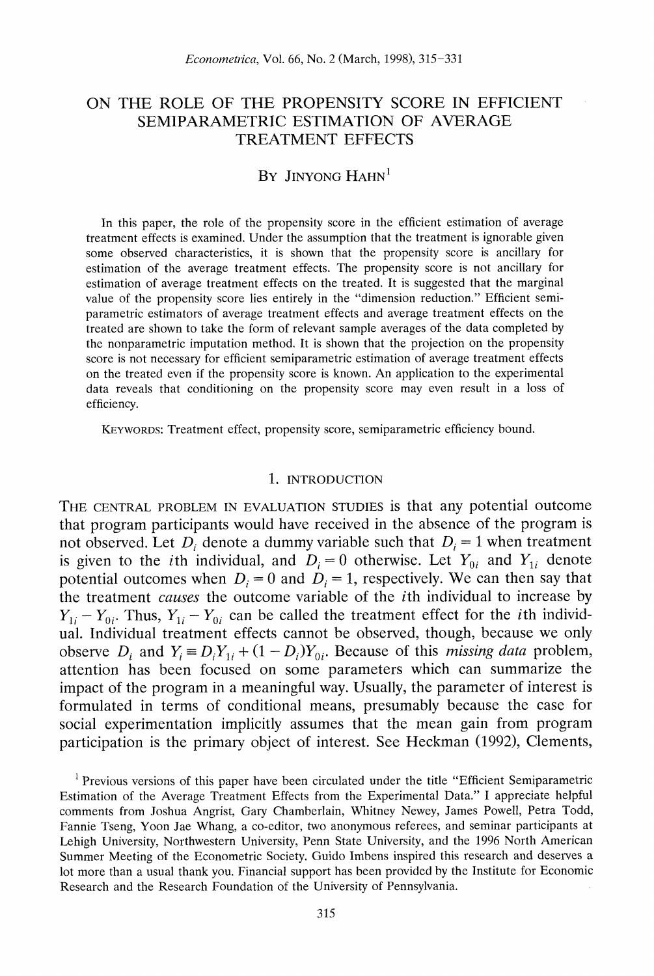# **ON THE ROLE OF THE PROPENSITY SCORE IN EFFICIENT SEMIPARAMETRIC ESTIMATION OF AVERAGE TREATMENT EFFECTS**

# **BY JINYONG HAHN'**

**In this paper, the role of the propensity score in the efficient estimation of average treatment effects is examined. Under the assumption that the treatment is ignorable given some observed characteristics, it is shown that the propensity score is ancillary for estimation of the average treatment effects. The propensity score is not ancillary for estimation of average treatment effects on the treated. It is suggested that the marginal value of the propensity score lies entirely in the "dimension reduction." Efficient semiparametric estimators of average treatment effects and average treatment effects on the treated are shown to take the form of relevant sample averages of the data completed by the nonparametric imputation method. It is shown that the projection on the propensity**  score is not necessary for efficient semiparametric estimation of average treatment effects **on the treated even if the propensity score is known. An application to the experimental data reveals that conditioning on the propensity score may even result in a loss of efficiency.** 

**KEYWORDS: Treatment effect, propensity score, semiparametric efficiency hound.** 

### **1. INTRODUCTION**

**THE CENTRAL PROBLEM IN EVALUATION STUDIES is that any potential outcome that program participants would have received in the absence of the program is**  not observed. Let  $D_i$  denote a dummy variable such that  $D_i = 1$  when treatment is given to the *i*th individual, and  $D_i = 0$  otherwise. Let  $Y_{0i}$  and  $Y_{1i}$  denote potential outcomes when  $D_i = 0$  and  $D_i = 1$ , respectively. We can then say that **the treatment causes the outcome variable of the ith individual to increase by**   $Y_{1i} - Y_{0i}$ . Thus,  $Y_{1i} - Y_{0i}$  can be called the treatment effect for the *i*th individ**ual. Individual treatment effects cannot be observed, though, because we only**  observe  $D_i$  and  $Y_i = D_i Y_{1i} + (1 - D_i) Y_{0i}$ . Because of this *missing data* problem, **attention has been focused on some parameters which can summarize the impact of the program in a meaningful way. Usually, the parameter of interest is formulated in terms of conditional means, presumably because the case for social experimentation implicitly assumes that the mean gain from program participation is the primary object of interest. See Heckman (1992), Clements,** 

**<sup>1</sup> Previous versions of this paper have been circulated under the title "Efficient Semiparametric Estimation of the Average Treatment Effects from the Experimental Data." I appreciate helpful comments from Joshua Angrist, Gary Chamberlain, Whitney Newey, James Powell, Petra Todd, Fannie Tseng, Yoon Jae Whang, a co-editor, two anonymous referees, and seminar participants at Lehigh University, Northwestern University, Penn State University, and the 1996 North American Summer Meeting of the Econometric Society. Guido Imbens inspired this research and deserves a lot more than a usual thank you. Financial support has been provided by the Institute for Economic Research and the Research Foundation of the University of Pennsylvania.**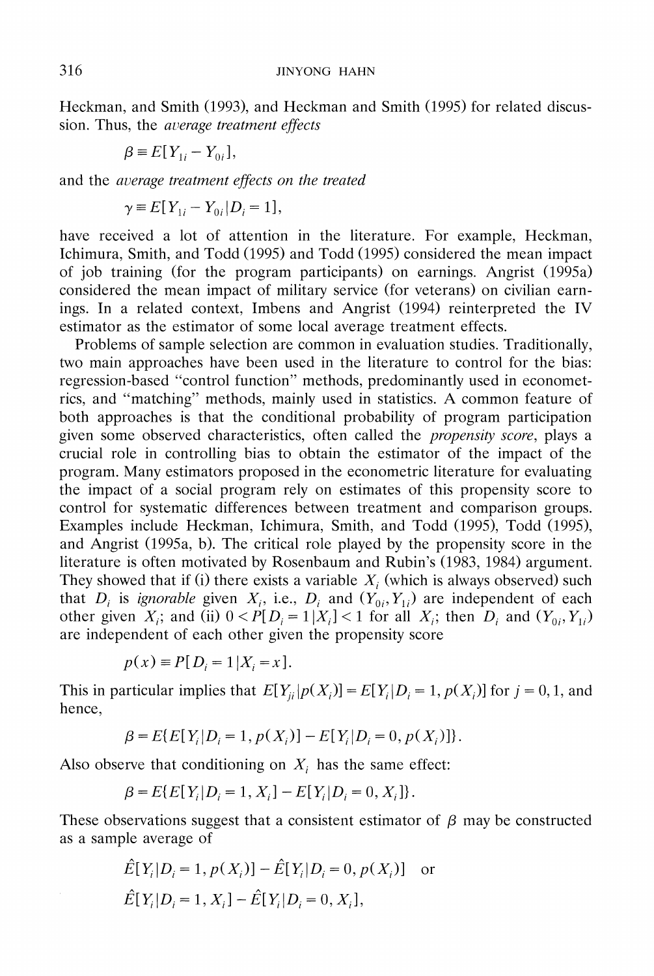**Heckman, and Smith (1993), and Heckman and Smith (1995) for related discus**sion. Thus, the *average treatment effects* 

$$
\beta = E[Y_{1i} - Y_{0i}],
$$

**and the average treatnent effects on the treated** 

$$
\gamma \equiv E[Y_{1i} - Y_{0i} | D_i = 1],
$$

**have received a lot of attention in the literature. For example, Heckman, Ichimura, Smith, and Todd (1995) and Todd (1995) considered the mean impact of job training (for the program participants) on earnings. Angrist (1995a) considered the mean impact of military service (for veterans) on civilian earnings. In a related context, Imbens and Angrist (1994) reinterpreted the IV estimator as the estimator of some local average treatment effects.** 

**Problems of sample selection are common in evaluation studies. Traditionally, two main approaches have been used in the literature to control for the bias: regression-based "control function" methods, predominantly used in econometrics, and "matching" methods, mainly used in statistics. A common feature of both approaches is that the conditional probability of program participation given some observed characteristics, often called the propensity score, plays a crucial role in controlling bias to obtain the estimator of the impact of the program. Many estimators proposed in the econometric literature for evaluating the impact of a social program rely on estimates of this propensity score to control for systematic differences between treatment and comparison groups. Examples include Heckman, Ichimura, Smith, and Todd (1995), Todd (1995), and Angrist (1995a, b). The critical role played by the propensity score in the literature is often motivated by Rosenbaum and Rubin's (1983, 1984) argument.**  They showed that if (i) there exists a variable  $X_i$  (which is always observed) such that  $D_i$  is *ignorable* given  $X_i$ , i.e.,  $D_i$  and  $(Y_{0i}, Y_{1i})$  are independent of each other given  $X_i$ ; and (ii)  $0 < P[D_i = 1 | X_i] < 1$  for all  $X_i$ ; then  $D_i$  and  $(Y_{0i}, Y_{1i})$ **are independent of each other given the propensity score** 

$$
p(x) \equiv P[D_i = 1 | X_i = x].
$$

This in particular implies that  $E[Y_{ii} | p(X_i)] = E[Y_i | D_i = 1, p(X_i)]$  for  $j = 0, 1$ , and **hence,** 

$$
\beta = E\{E[Y_i|D_i = 1, p(X_i)] - E[Y_i|D_i = 0, p(X_i)]\}.
$$

Also observe that conditioning on  $X_i$  has the same effect:

$$
\beta = E\{E[Y_i|D_i = 1, X_i] - E[Y_i|D_i = 0, X_i]\}.
$$

These observations suggest that a consistent estimator of  $\beta$  may be constructed **as a sample average of** 

$$
\hat{E}[Y_i|D_i = 1, p(X_i)] - \hat{E}[Y_i|D_i = 0, p(X_i)] \text{ or}
$$
  

$$
\hat{E}[Y_i|D_i = 1, X_i] - \hat{E}[Y_i|D_i = 0, X_i],
$$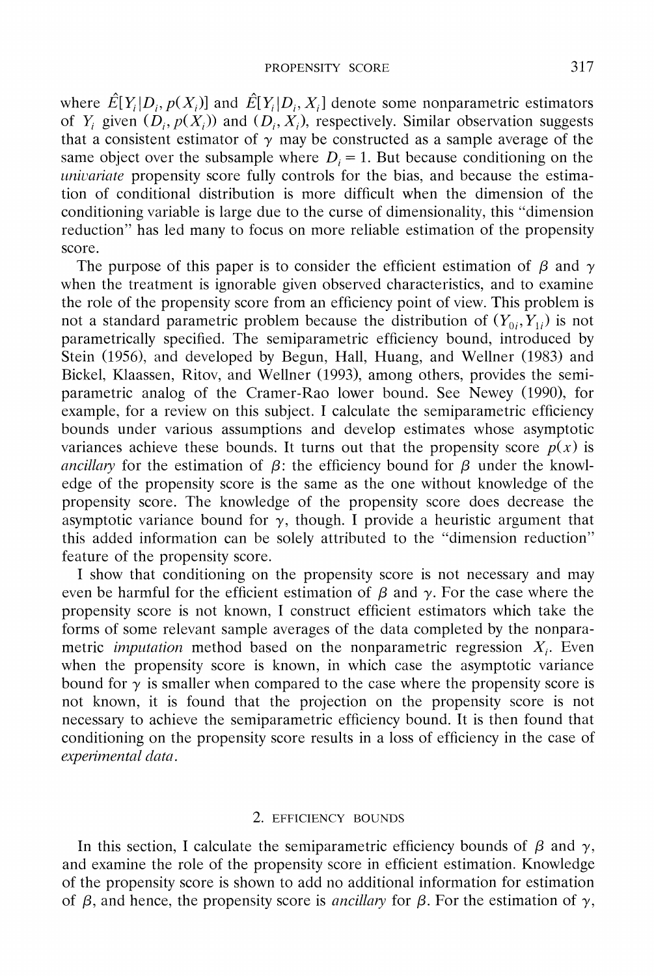where  $\hat{E}[Y_i|D_i, p(X_i)]$  and  $\hat{E}[Y_i|D_i, X_i]$  denote some nonparametric estimators of Y<sub>i</sub> given  $(D_i, p(X_i))$  and  $(D_i, X_i)$ , respectively. Similar observation suggests that a consistent estimator of  $\gamma$  may be constructed as a sample average of the same object over the subsample where  $D_i = 1$ . But because conditioning on the univariate propensity score fully controls for the bias, and because the estima**tion of conditional distribution is more difficult when the dimension of the conditioning variable is large due to the curse of dimensionality, this "dimension reduction" has led many to focus on more reliable estimation of the propensity score.** 

The purpose of this paper is to consider the efficient estimation of  $\beta$  and  $\gamma$ **when the treatment is ignorable given observed characteristics, and to examine the role of the propensity score from an efficiency point of view. This problem is**  not a standard parametric problem because the distribution of  $(Y_{0i}, Y_{1i})$  is not **parametrically specified. The semiparametric efficiency bound, introduced by Stein (1956), and developed by Begun, Hall, Huang, and Wellner (1983) and Bickel, Klaassen, Ritov, and Wellner (1993), among others, provides the semiparametric analog of the Cramer-Rao lower bound. See Newey (1990), for example, for a review on this subject. I calculate the semiparametric efficiency bounds under various assumptions and develop estimates whose asymptotic**  variances achieve these bounds. It turns out that the propensity score  $p(x)$  is ancillary for the estimation of  $\beta$ : the efficiency bound for  $\beta$  under the knowl**edge of the propensity score is the same as the one without knowledge of the propensity score. The knowledge of the propensity score does decrease the**  asymptotic variance bound for  $\gamma$ , though. I provide a heuristic argument that **this added information can be solely attributed to the "dimension reduction" feature of the propensity score.** 

I show that conditioning on the propensity score is not necessary and may even be harmful for the efficient estimation of  $\beta$  and  $\gamma$ . For the case where the **propensity score is not known, I construct efficient estimators which take the forms of some relevant sample averages of the data completed by the nonparametric** *imputation* method based on the nonparametric regression  $X_i$ . Even when the propensity score is known, in which case the asymptotic variance bound for  $\gamma$  is smaller when compared to the case where the propensity score is **not known, it is found that the projection on the propensity score is not necessaiy to achieve the semiparametric efficiency bound. It is then found that conditioning on the propensity score results in a loss of efficiency in the case of**  *experimental data.* 

# **2. EFFICIENCY BOUNDS**

In this section, I calculate the semiparametric efficiency bounds of  $\beta$  and  $\gamma$ , **and examine the role of the propensity score in efficient estimation. Knowledge of the propensity score is shown to add no additional information for estimation**  of  $\beta$ , and hence, the propensity score is *ancillary* for  $\beta$ . For the estimation of  $\gamma$ ,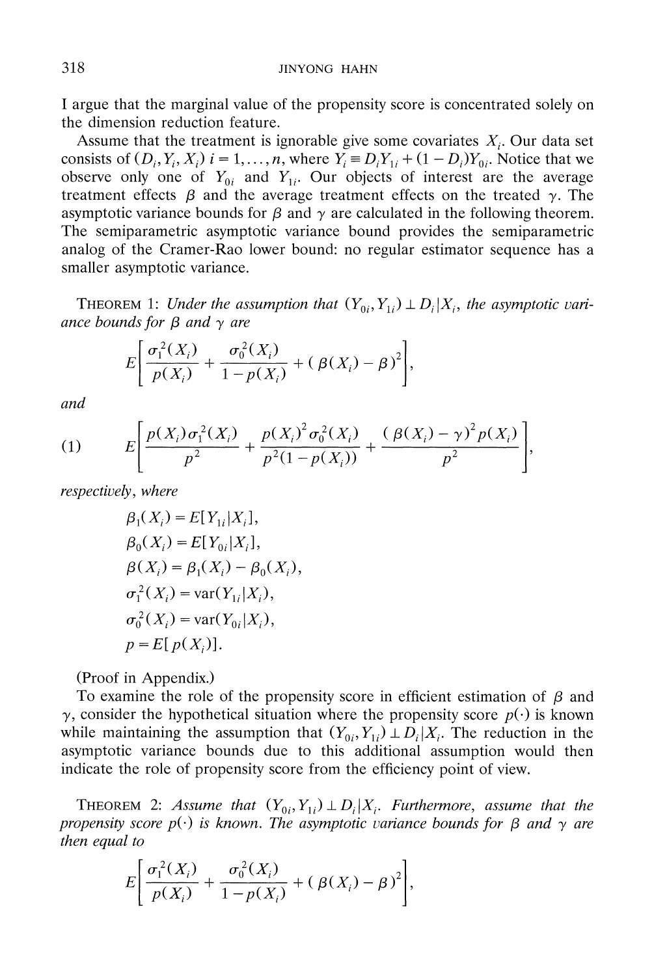**I argue that the marginal value of the propensity score is concentrated solely on the dimension reduction feature.** 

Assume that the treatment is ignorable give some covariates  $X_i$ . Our data set consists of  $(D_i, Y_i, X_i)$   $i = 1, \ldots, n$ , where  $Y_i \equiv D_i Y_{1i} + (1 - D_i) Y_{0i}$ . Notice that we observe only one of  $Y_{0i}$  and  $Y_{1i}$ . Our objects of interest are the average treatment effects  $\beta$  and the average treatment effects on the treated  $\gamma$ . The asymptotic variance bounds for  $\beta$  and  $\gamma$  are calculated in the following theorem. **The semiparametric asymptotic variance bound provides the semiparametric analog of the Cramer-Rao lower bound: no regular estimator sequence has a smaller asymptotic variance.** 

**THEOREM 1:** Under the assumption that  $(Y_{0i}, Y_{1i}) \perp D_i | X_i$ , the asymptotic variance bounds for  $\beta$  and  $\gamma$  are

$$
E\bigg[\frac{\sigma_1^2(X_i)}{p(X_i)} + \frac{\sigma_0^2(X_i)}{1 - p(X_i)} + (\beta(X_i) - \beta)^2\bigg],
$$

**and** 

(1) 
$$
E\left[\frac{p(X_i)\sigma_1^2(X_i)}{p^2} + \frac{p(X_i)^2\sigma_0^2(X_i)}{p^2(1-p(X_i))} + \frac{(\beta(X_i)-\gamma)^2p(X_i)}{p^2}\right],
$$

*respectively, where respectively, where respectively* 

$$
\beta_1(X_i) = E[Y_{1i}|X_i],
$$
  
\n
$$
\beta_0(X_i) = E[Y_{0i}|X_i],
$$
  
\n
$$
\beta(X_i) = \beta_1(X_i) - \beta_0(X_i)
$$
  
\n
$$
\sigma_1^2(X_i) = \text{var}(Y_{1i}|X_i),
$$
  
\n
$$
\sigma_0^2(X_i) = \text{var}(Y_{0i}|X_i),
$$
  
\n
$$
p = E[p(X_i)].
$$

**(Proof in Appendix.)** 

To examine the role of the propensity score in efficient estimation of  $\beta$  and  $\gamma$ , consider the hypothetical situation where the propensity score  $p(\cdot)$  is known while maintaining the assumption that  $(Y_{0i}, Y_{1i}) \perp D_i | X_i$ . The reduction in the **asymptotic variance bounds due to this additional assumption would then indicate the role of propensity score from the efficiency point of view.** 

**THEOREM 2:** Assume that  $(Y_{0i}, Y_{1i}) \perp D_i | X_i$ . Furthermore, assume that the propensity score  $p(\cdot)$  is known. The asymptotic variance bounds for  $\beta$  and  $\gamma$  are **then equal to** 

$$
E\bigg[\frac{\sigma_1^2(X_i)}{p(X_i)} + \frac{\sigma_0^2(X_i)}{1 - p(X_i)} + (\beta(X_i) - \beta)^2\bigg],
$$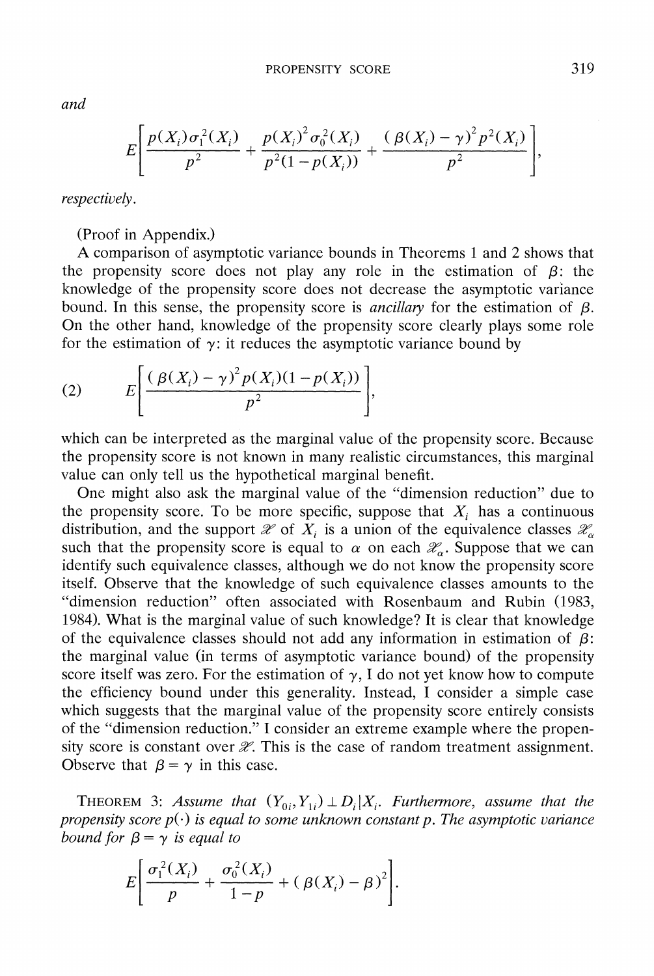**and** 

$$
E\left[\frac{p(X_i)\sigma_1^2(X_i)}{p^2} + \frac{p(X_i)^2\sigma_0^2(X_i)}{p^2(1-p(X_i))} + \frac{(\beta(X_i)-\gamma)^2p^2(X_i)}{p^2}\right]
$$

**respectively.** 

**(Proof in Appendix.)** 

**A comparison of asymptotic variance bounds in Theorems 1 and 2 shows that**  the propensity score does not play any role in the estimation of  $\beta$ : the **knowledge of the propensity score does not decrease the asymptotic variance**  bound. In this sense, the propensity score is *ancillary* for the estimation of  $\beta$ . **On the other hand, knowledge of the propensity score clearly plays some role**  for the estimation of  $\gamma$ : it reduces the asymptotic variance bound by

(2) 
$$
E\left[\frac{(\beta(X_i) - \gamma)^2 p(X_i)(1 - p(X_i))}{p^2}\right]
$$

**which can be interpreted as the marginal value of the propensity score. Because the propensity score is not known in many realistic circumstances, this marginal value can only tell us the hypothetical marginal benefit.** 

**One might also ask the marginal value of the "dimension reduction" due to**  the propensity score. To be more specific, suppose that  $X_i$  has a continuous distribution, and the support  $\mathscr X$  of  $X_i$  is a union of the equivalence classes  $\mathscr X_\alpha$ such that the propensity score is equal to  $\alpha$  on each  $\mathcal{X}_{\alpha}$ . Suppose that we can **identify such equivalence classes, although we do not know the propensity score itself. Observe that the knowledge of such equivalence classes amounts to the "dimension reduction" often associated with Rosenbaum and Rubin (1983, 1984). What is the marginal value of such knowledge? It is clear that knowledge**  of the equivalence classes should not add any information in estimation of  $\beta$ : **the marginal value (in terms of asymptotic variance bound) of the propensity**  score itself was zero. For the estimation of  $\gamma$ , I do not yet know how to compute **the efficiency bound under this generality. Instead, I consider a simple case which suggests that the marginal value of the propensity score entirely consists of the "dimension reduction." I consider an extreme example where the propen**sity score is constant over  $\mathcal X$ . This is the case of random treatment assignment. Observe that  $\beta = \gamma$  in this case.

**THEOREM** 3: Assume that  $(Y_{0i}, Y_{1i}) \perp D_i | X_i$ . Furthermore, assume that the propensity score  $p(\cdot)$  is equal to some unknown constant p. The asymptotic variance *bound for* $\beta = \gamma$ *is equal to* 

$$
E\bigg[\frac{\sigma_1^2(X_i)}{p} + \frac{\sigma_0^2(X_i)}{1-p} + (\beta(X_i) - \beta)^2\bigg].
$$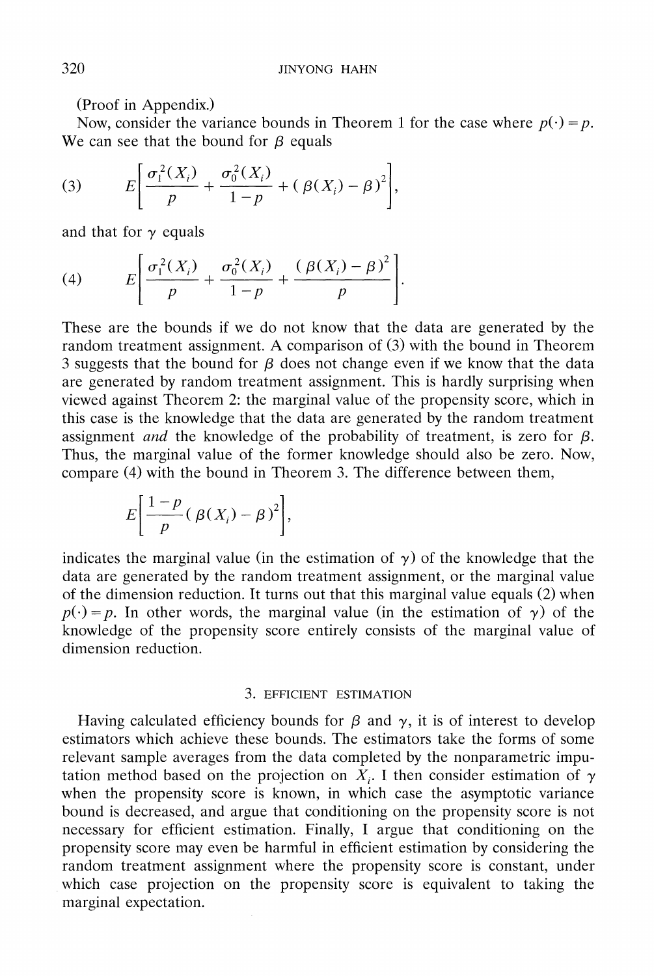**(Proof in Appendix.)** 

Now, consider the variance bounds in Theorem 1 for the case where  $p(\cdot) = p$ . We can see that the bound for  $\beta$  equals

(3) 
$$
E\left[\frac{\sigma_i^2(X_i)}{p} + \frac{\sigma_0^2(X_i)}{1-p} + (\beta(X_i) - \beta)^2\right],
$$

and that for  $\gamma$  equals

(4) 
$$
E\left[\frac{\sigma_1^2(X_i)}{p} + \frac{\sigma_0^2(X_i)}{1-p} + \frac{(\beta(X_i) - \beta)^2}{p}\right].
$$

**These are the bounds if we do not know that the data are generated by the random treatment assignment. A comparison of (3) with the bound in Theorem 3** suggests that the bound for  $\beta$  does not change even if we know that the data **are generated by random treatment assignment. This is hardly surprising when viewed against Theorem 2: the marginal value of the propensity score, which in this case is the knowledge that the data are generated by the random treatment**  assignment *and* the knowledge of the probability of treatment, is zero for  $\beta$ . **Thus, the marginal value of the former knowledge should also be zero. Now, compare (4) with the bound in Theorem 3. The difference between them,** 

$$
E\bigg[\frac{1-p}{p}(\beta(X_i)-\beta)^2\bigg],
$$

indicates the marginal value (in the estimation of  $\gamma$ ) of the knowledge that the **data are generated by the random treatment assignment, or the marginal value of the dimension reduction. It turns out that this marginal value equals (2) when**   $p(\cdot) = p$ . In other words, the marginal value (in the estimation of  $\gamma$ ) of the **knowledge of the propensity score entirely consists of the marginal value of dimension reduction.** 

# **3. EFFICIENT ESTIMATION**

Having calculated efficiency bounds for  $\beta$  and  $\gamma$ , it is of interest to develop **estimators which achieve these bounds. The estimators take the forms of some relevant sample averages from the data completed by the nonparametric impu**tation method based on the projection on  $X_i$ . I then consider estimation of  $\gamma$ **when the propensity score is known, in which case the asymptotic variance bound is decreased, and argue that conditioning on the propensity score is not necessary for efficient estimation. Finally, I argue that conditioning on the propensity score may even be harmful in efficient estimation by considering the random treatment assignment where the propensity score is constant, under**  which case projection on the propensity score is equivalent to taking the **marginal expectation.**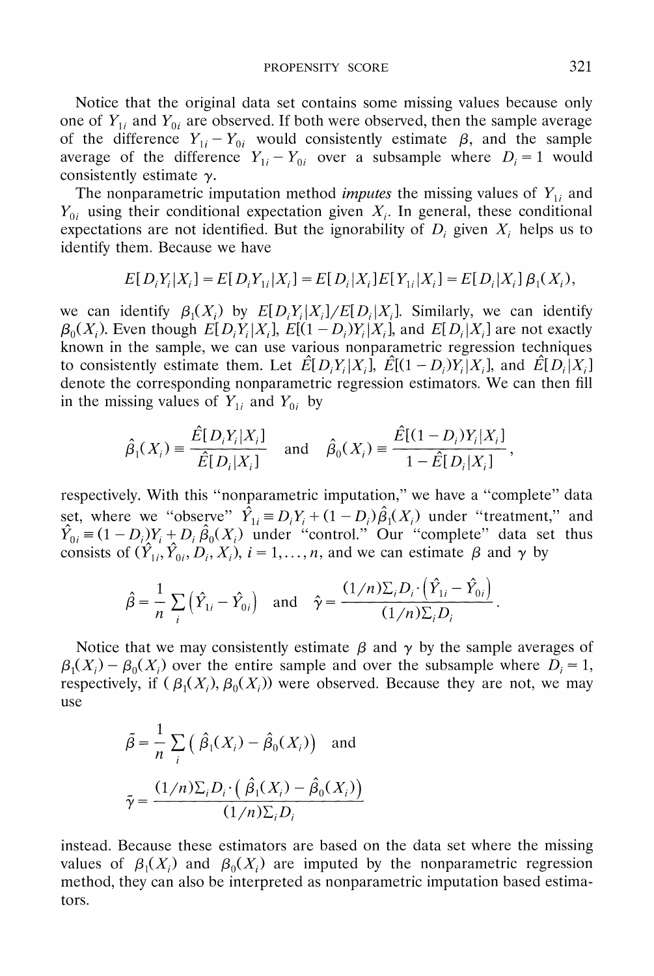**Notice that the original data set contains some missing values because only**  one of  $Y_{1i}$  and  $Y_{0i}$  are observed. If both were observed, then the sample average of the difference  $Y_{1i} - Y_{0i}$  would consistently estimate  $\beta$ , and the sample average of the difference  $Y_{1i} - Y_{0i}$  over a subsample where  $D_i = 1$  would **consistently estimate y.** 

The nonparametric imputation method *imputes* the missing values of  $Y_{1i}$  and  $Y_{0i}$  using their conditional expectation given  $X_i$ . In general, these conditional expectations are not identified. But the ignorability of  $D_i$  given  $X_i$  helps us to **identify them. Because we have** 

$$
E[D_iY_i|X_i] = E[D_iY_{1i}|X_i] = E[D_i|X_i]E[Y_{1i}|X_i] = E[D_i|X_i] \beta_1(X_i),
$$

we can identify  $\beta_1(X_i)$  by  $E[D_iY_i|X_i]/E[D_i|X_i]$ . Similarly, we can identify  $\beta_0(X_i)$ . Even though  $E[D_iY_i|X_i]$ ,  $E[(1-D_i)Y_i|X_i]$ , and  $E[D_i|X_i]$  are not exactly **known in the sample, we can use various nonparametric regression techniques**  to consistently estimate them. Let  $\hat{E}[D_iY_i|X_i]$ ,  $\hat{E}[(1-D_i)Y_i|X_i]$ , and  $\hat{E}[D_i|X_i]$ **denote the corresponding nonparametric regression estimators. We can then fill**  in the missing values of  $Y_{1i}$  and  $Y_{0i}$  by

$$
\hat{\beta}_1(X_i) \equiv \frac{\hat{E}[D_i Y_i | X_i]}{\hat{E}[D_i | X_i]} \quad \text{and} \quad \hat{\beta}_0(X_i) \equiv \frac{\hat{E}[(1 - D_i)Y_i | X_i]}{1 - \hat{E}[D_i | X_i]},
$$

**respectively. With this "nonparametric imputation," we have a "complete" data**  set, where we "observe"  $\overline{Y}_{1i} = D_i Y_i + (1 - D_i) \beta_1(X_i)$  under "treatment," and  $\hat{Y}_{0i} = (1 - D_i)Y_i + D_i \hat{\beta}_0(X_i)$  under "control." Our "complete" data set thus **consists of**  $(\hat{Y}_{1i}, \hat{Y}_{0i}, D_i, X_i)$ ,  $i = 1, \ldots, n$ , and we can estimate  $\beta$  and  $\gamma$  by

$$
\hat{\beta} = \frac{1}{n} \sum_{i} (\hat{Y}_{1i} - \hat{Y}_{0i}) \quad \text{and} \quad \hat{\gamma} = \frac{(1/n)\sum_{i} D_i \cdot (\hat{Y}_{1i} - \hat{Y}_{0i})}{(1/n)\sum_{i} D_i}
$$

Notice that we may consistently estimate  $\beta$  and  $\gamma$  by the sample averages of  $\beta_1(X_i) - \beta_0(X_i)$  over the entire sample and over the subsample where  $D_i = 1$ , respectively, if  $(\beta_1(X_i), \beta_0(X_i))$  were observed. Because they are not, we may **use** 

$$
\tilde{\beta} = \frac{1}{n} \sum_{i} (\hat{\beta}_1(X_i) - \hat{\beta}_0(X_i)) \text{ and}
$$

$$
\tilde{\gamma} = \frac{(1/n)\sum_{i} D_i \cdot (\hat{\beta}_1(X_i) - \hat{\beta}_0(X_i))}{(1/n)\sum_{i} D_i}
$$

**instead. Because these estimators are based on the data set where the missing**  values of  $\beta_1(X_i)$  and  $\beta_0(X_i)$  are imputed by the nonparametric regression **method, they can also be interpreted as nonparametric imputation based estimators.**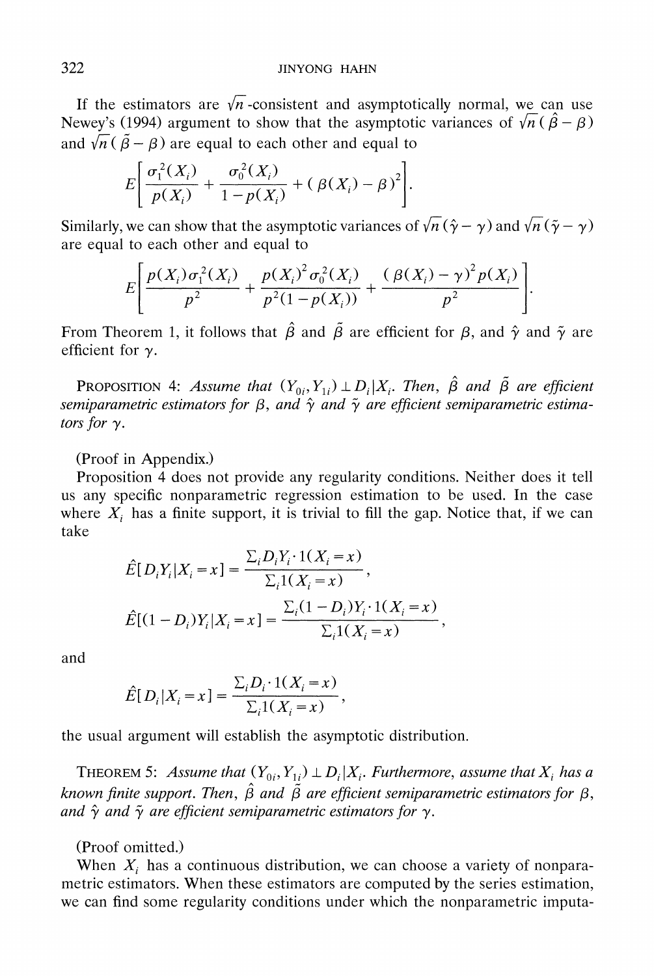If the estimators are  $\sqrt{n}$ -consistent and asymptotically normal, we can use **Newey's (1994) argument to show that the asymptotic variances of**  $\sqrt{n}(\hat{\beta} - \beta)$ and  $\sqrt{n}(\tilde{\beta}-\beta)$  are equal to each other and equal to

$$
E\bigg[\frac{\sigma_1^2(X_i)}{p(X_i)} + \frac{\sigma_0^2(X_i)}{1 - p(X_i)} + (\beta(X_i) - \beta)^2\bigg].
$$

**Similarly, we can show that the asymptotic variances of**  $\sqrt{n}(\hat{\gamma} - \gamma)$  **and**  $\sqrt{n}(\tilde{\gamma} - \gamma)$ **are equal to each other and equal to** 

$$
E\left[\frac{p(X_i)\sigma_1^2(X_i)}{p^2} + \frac{p(X_i)^2\sigma_0^2(X_i)}{p^2(1-p(X_i))} + \frac{(\beta(X_i)-\gamma)^2p(X_i)}{p^2}\right].
$$

**From Theorem 1, it follows that**  $\hat{\beta}$  **and**  $\tilde{\beta}$  **are efficient for**  $\beta$ **, and**  $\hat{\gamma}$  **and**  $\tilde{\gamma}$  **are efficient for y.** 

**PROPOSITION** 4: Assume that  $(Y_{0i}, Y_{1i}) \perp D_i | X_i$ . Then,  $\hat{\beta}$  and  $\tilde{\beta}$  are efficient semiparametric estimators for  $\beta$ , and  $\hat{\gamma}$  and  $\tilde{\gamma}$  are efficient semiparametric estima**tors for y.** 

**(Proof in Appendix.)** 

**Proposition 4 does not provide any regularity conditions. Neither does it tell us any specific nonparametric regression estimation to be used. In the case**  where  $X_i$  has a finite support, it is trivial to fill the gap. Notice that, if we can **take** 

$$
\hat{E}[D_i Y_i | X_i = x] = \frac{\sum_i D_i Y_i \cdot 1(X_i = x)}{\sum_i 1(X_i = x)},
$$
  

$$
\hat{E}[(1 - D_i) Y_i | X_i = x] = \frac{\sum_i (1 - D_i) Y_i \cdot 1(X_i = x)}{\sum_i 1(X_i = x)},
$$

**and** 

$$
\hat{E}[D_i|X_i = x] = \frac{\sum_i D_i \cdot 1(X_i = x)}{\sum_i 1(X_i = x)},
$$

**the usual argument will establish the asymptotic distribution.** 

**THEOREM 5:** Assume that  $(Y_{0i}, Y_{1i}) \perp D_i | X_i$ . Furthermore, assume that  $X_i$  has a known finite support. Then,  $\hat{\beta}$  and  $\tilde{\beta}$  are efficient semiparametric estimators for  $\beta$ , and  $\hat{\gamma}$  and  $\tilde{\gamma}$  are efficient semiparametric estimators for  $\gamma$ .

## **(Proof omitted.)**

When  $X_i$  has a continuous distribution, we can choose a variety of nonpara**metric estimators. When these estimators are computed by the series estimation, we can find some regularity conditions under which the nonparametric imputa-**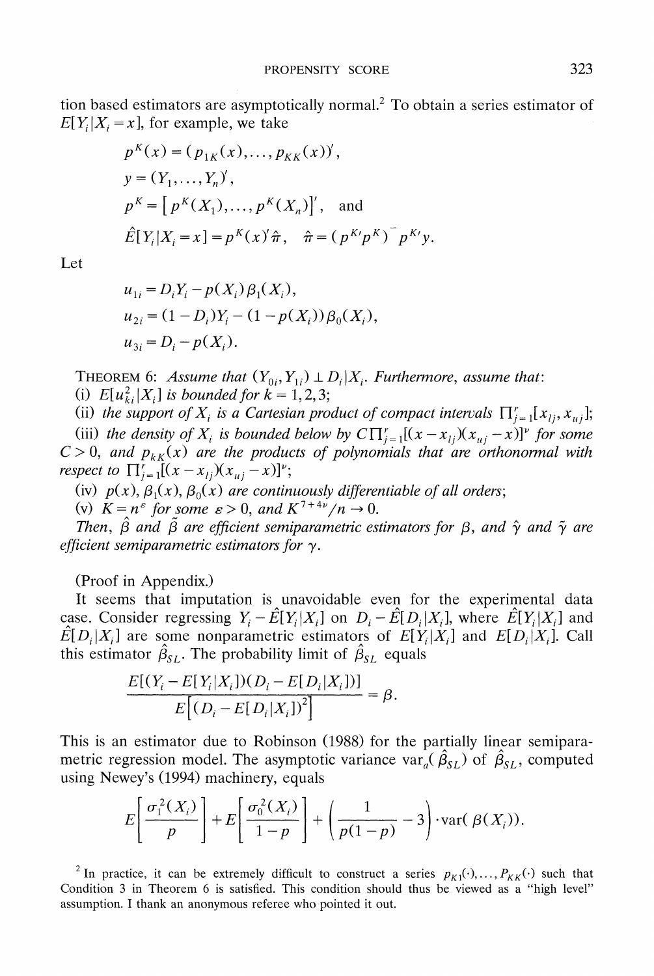**tion based estimators are asymptotically normal.2 To obtain a series estimator of**   $E[Y_i|X_i = x]$ , for example, we take

$$
p^{K}(x) = (p_{1K}(x), ..., p_{KK}(x))',
$$
  
\n
$$
y = (Y_{1}, ..., Y_{n})',
$$
  
\n
$$
p^{K} = [p^{K}(X_{1}), ..., p^{K}(X_{n})]',
$$
 and  
\n
$$
\hat{E}[Y_{i}|X_{i} = x] = p^{K}(x)\hat{\pi}, \quad \hat{\pi} = (p^{K}p^{K})^{-}p^{K}y.
$$

**Let** 

$$
u_{1i} = D_i Y_i - p(X_i) \beta_1(X_i),
$$
  
\n
$$
u_{2i} = (1 - D_i) Y_i - (1 - p(X_i)) \beta_0(X_i),
$$
  
\n
$$
u_{3i} = D_i - p(X_i).
$$

**THEOREM 6:** Assume that  $(Y_{0i}, Y_{1i}) \perp D_i | X_i$ . Furthermore, assume that:

(i)  $E[u_{ki}^2|X_i]$  is bounded for  $k = 1, 2, 3$ ;

(ii) the support of  $X_i$  is a Cartesian product of compact intervals  $\prod_{i=1}^r [x_{i}, x_{ui}]$ ;

(iii) the density of  $X_i$  is bounded below by  $C \prod_{i=1}^{r} [(x - x_{ij})(x_{ui} - x)]^{\nu}$  for some  $C > 0$ , and  $p_{kK}(x)$  are the products of polynomials that are orthonormal with **respect to**  $\prod_{j=1}^{r}[(x-x_{1j})(x_{1i}-x)]^{v}$ ;

(iv)  $p(x)$ ,  $\beta_1(x)$ ,  $\beta_0(x)$  are continuously differentiable of all orders;

(v)  $K = n^{\varepsilon}$  for some  $\varepsilon > 0$ , and  $K^{7+4\nu}/n \rightarrow 0$ .

Then,  $\hat{\beta}$  and  $\tilde{\beta}$  are efficient semiparametric estimators for  $\beta$ , and  $\hat{\gamma}$  and  $\tilde{\gamma}$  are efficient semiparametric estimators for  $\gamma$ .

**(Proof in Appendix.)** 

**It seems that imputation is unavoidable even for the experimental data**  case. Consider regressing  $Y_i - \hat{E}[Y_i|X_i]$  on  $D_i - \hat{E}[D_i|X_i]$ , where  $\hat{E}[Y_i|X_i]$  and  $E[D_i|X_i]$  are some nonparametric estimators of  $E[Y_i|X_i]$  and  $E[D_i|X_i]$ . Call **this estimator**  $\hat{\beta}_{SL}$ **. The probability limit of**  $\hat{\beta}_{SL}$  **equals** 

$$
\frac{E[(Y_i - E[Y_i|X_i])(D_i - E[D_i|X_i])]}{E[(D_i - E[D_i|X_i])^2]} = \beta.
$$

**This is an estimator due to Robinson (1988) for the partially linear semiparametric regression model. The asymptotic variance var<sub>a</sub>**  $(\hat{\beta}_{SL})$  **of**  $\hat{\beta}_{SL}$ **, computed using Newey's (1994) machinery, equals** 

$$
E\left[\frac{\sigma_1^2(X_i)}{p}\right] + E\left[\frac{\sigma_0^2(X_i)}{1-p}\right] + \left(\frac{1}{p(1-p)} - 3\right) \cdot \text{var}(\beta(X_i)).
$$

<sup>2</sup> In practice, it can be extremely difficult to construct a series  $p_{K1}(\cdot), \ldots, p_{KK}(\cdot)$  such that **Condition 3 in Theorem 6 is satisfied. This condition should thus be viewed as a "high level" assumption. I thank an anonymous referee who pointed it out.**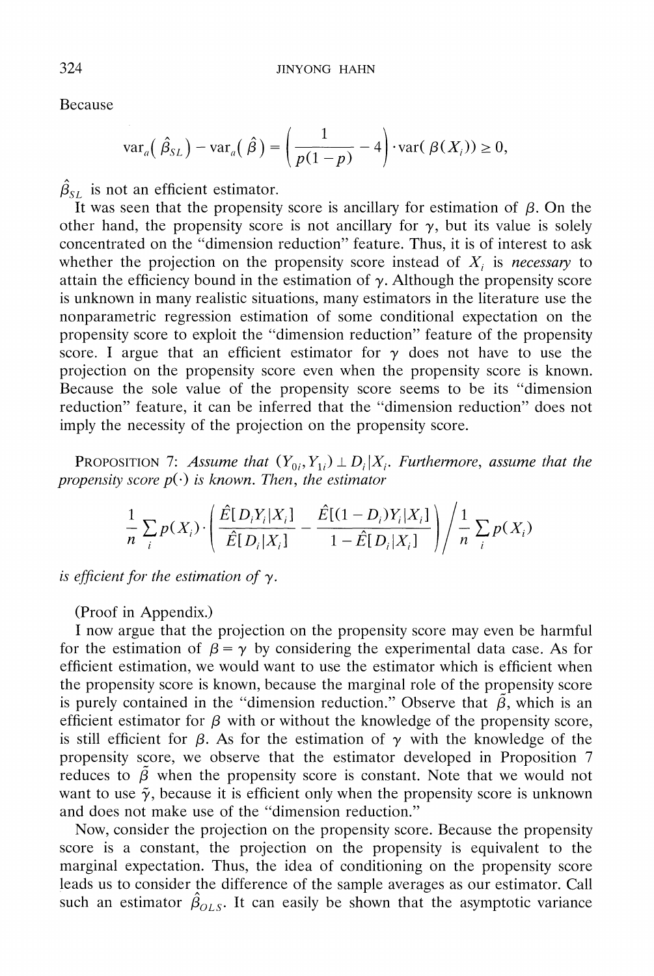**Because** 

$$
\operatorname{var}_a\left(\hat{\beta}_{SL}\right)-\operatorname{var}_a\left(\hat{\beta}\right)=\left(\frac{1}{p(1-p)}-4\right)\cdot\operatorname{var}(\beta(X_i))\geq 0,
$$

 $\hat{\beta}_{SL}$  is not an efficient estimator.

It was seen that the propensity score is ancillary for estimation of  $\beta$ . On the other hand, the propensity score is not ancillary for  $\gamma$ , but its value is solely **concentrated on the "dimension reduction" feature. Thus, it is of interest to ask**  whether the projection on the propensity score instead of  $X_i$  is necessary to attain the efficiency bound in the estimation of  $\gamma$ . Although the propensity score **is unknown in many realistic situations, many estimators in the literature use the nonparametric regression estimation of some conditional expectation on the propensity score to exploit the "dimension reduction" feature of the propensity score.** I argue that an efficient estimator for  $\gamma$  does not have to use the **projection on the propensity score even when the propensity score is known. Because the sole value of the propensity score seems to be its "dimension reduction" feature, it can be inferred that the "dimension reduction" does not imply the necessity of the projection on the propensity score.** 

**PROPOSITION 7:** Assume that  $(Y_{0i}, Y_{1i}) \perp D_i | X_i$ . Furthermore, assume that the propensity score  $p(\cdot)$  is known. Then, the estimator

$$
\frac{1}{n}\sum_{i}p(X_i)\cdot\left(\frac{\hat{E}[D_iY_i|X_i]}{\hat{E}[D_i|X_i]}-\frac{\hat{E}[(1-D_i)Y_i|X_i]}{1-\hat{E}[D_i|X_i]}\right)\left/\frac{1}{n}\sum_{i}p(X_i)\right.
$$

is efficient for the estimation of  $\gamma$ .

**(Proof in Appendix.)** 

**I now argue that the projection on the propensity score may even be harmful**  for the estimation of  $\beta = \gamma$  by considering the experimental data case. As for **efficient estimation, we would want to use the estimator which is efficient when the propensity score is known, because the marginal role of the propensity score**  is purely contained in the "dimension reduction." Observe that  $\tilde{\beta}$ , which is an efficient estimator for  $\beta$  with or without the knowledge of the propensity score, is still efficient for  $\beta$ . As for the estimation of  $\gamma$  with the knowledge of the **propensity score, we observe that the estimator developed in Proposition 7**  reduces to  $\tilde{\beta}$  when the propensity score is constant. Note that we would not want to use  $\tilde{\gamma}$ , because it is efficient only when the propensity score is unknown **and does not make use of the "dimension reduction."** 

**Now, consider the projection on the propensity score. Because the propensity score is a constant, the projection on the propensity is equivalent to the marginal expectation. Thus, the idea of conditioning on the propensity score leads us to consider the difference of the sample averages as our estimator. Call**  such an estimator  $\hat{\beta}_{OLS}$ . It can easily be shown that the asymptotic variance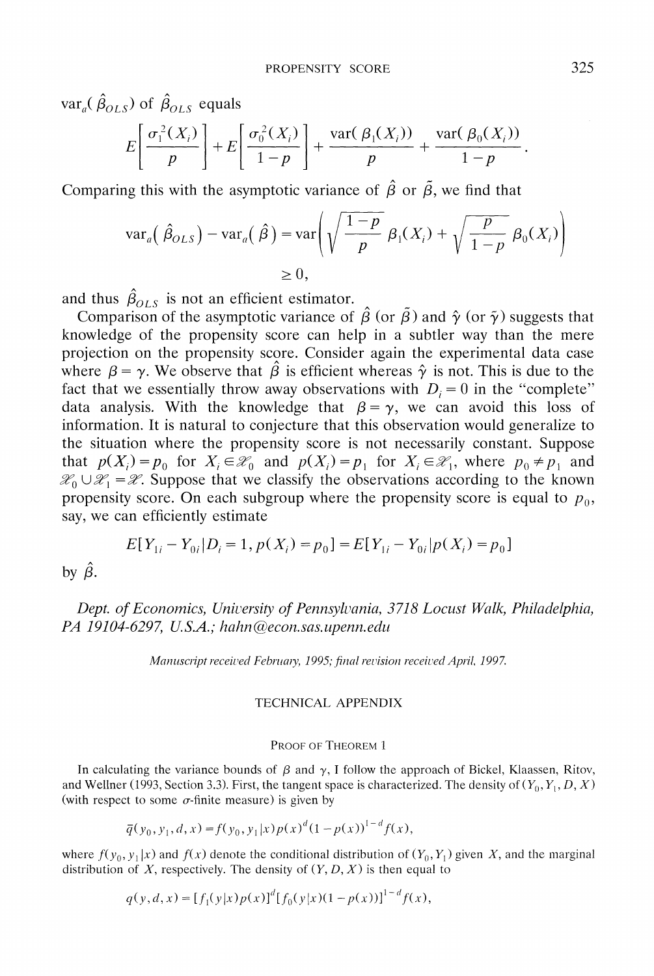$var_a(\hat{\beta}_{OLS})$  of  $\hat{\beta}_{OLS}$  equals

$$
E\left[\frac{\sigma_1^2(X_i)}{p}\right] + E\left[\frac{\sigma_0^2(X_i)}{1-p}\right] + \frac{\text{var}(\beta_1(X_i))}{p} + \frac{\text{var}(\beta_0(X_i))}{1-p}.
$$

Comparing this with the asymptotic variance of  $\hat{\beta}$  or  $\tilde{\beta}$ , we find that

$$
\operatorname{var}_a\left(\hat{\beta}_{OLS}\right) - \operatorname{var}_a\left(\hat{\beta}\right) = \operatorname{var}\left(\sqrt{\frac{1-p}{p}} \beta_1(X_i) + \sqrt{\frac{p}{1-p}} \beta_0(X_i)\right)
$$
  
\n
$$
\geq 0,
$$

and thus  $\hat{\beta}_{OLS}$  is not an efficient estimator.

Comparison of the asymptotic variance of  $\hat{\beta}$  (or  $\tilde{\beta}$ ) and  $\hat{\gamma}$  (or  $\tilde{\gamma}$ ) suggests that **knowledge of the propensity score can help in a subtler way than the mere projection on the propensity score. Consider again the experimental data case**  where  $\beta = \gamma$ . We observe that  $\hat{\beta}$  is efficient whereas  $\hat{\gamma}$  is not. This is due to the fact that we essentially throw away observations with  $D_i = 0$  in the "complete" data analysis. With the knowledge that  $\beta = \gamma$ , we can avoid this loss of **information. It is natural to conjecture that this observation would generalize to the situation where the propensity score is not necessarily constant. Suppose**  that  $p(X_i) = p_0$  for  $X_i \in \mathcal{X}_0$  and  $p(X_i) = p_1$  for  $X_i \in \mathcal{X}_1$ , where  $p_0 \neq p_1$  and  $\mathcal{X}_0 \cup \mathcal{X}_1 = \mathcal{X}$ . Suppose that we classify the observations according to the known propensity score. On each subgroup where the propensity score is equal to  $p_0$ , **say, we can efficiently estimate** 

$$
E[Y_{1i} - Y_{0i} | D_i = 1, p(X_i) = p_0] = E[Y_{1i} - Y_{0i} | p(X_i) = p_0]
$$

by  $\hat{\beta}$ .

Dept. of Economics, University of Pennsylvania, 3718 Locust Walk, Philadelphia, PA 19104-6297, U.S.A.; hahn@econ.sas.upenn.edu

Manuscript received February, 1995; final revision received April, 1997.

### **TECHNICAL APPENDIX**

#### **PROOF OF THEOREM 1**

In calculating the variance bounds of  $\beta$  and  $\gamma$ , I follow the approach of Bickel, Klaassen, Ritov, and Wellner (1993, Section 3.3). First, the tangent space is characterized. The density of  $(Y_0, Y_1, D, X)$ (with respect to some  $\sigma$ -finite measure) is given by

$$
\overline{q}(y_0, y_1, d, x) = f(y_0, y_1 | x) p(x)^d (1 - p(x))^{1 - d} f(x),
$$

where  $f(y_0, y_1|x)$  and  $f(x)$  denote the conditional distribution of  $(Y_0, Y_1)$  given X, and the marginal distribution of  $X$ , respectively. The density of  $(Y, D, X)$  is then equal to

$$
q(y, d, x) = [f_1(y|x)p(x)]^d [f_0(y|x)(1-p(x))]^{1-d} f(x),
$$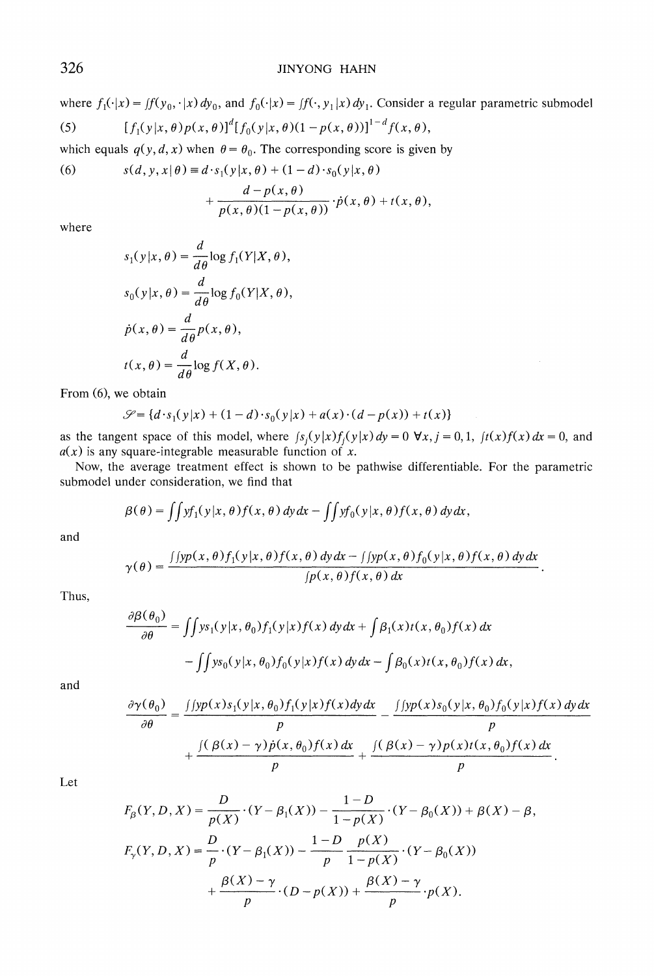# **326 JINYONG HAHN**

where  $f_1(\cdot|x) = f(f(y_0, \cdot|x) dy_0$ , and  $f_0(\cdot|x) = f(\cdot, y_1|x) dy_1$ . Consider a regular parametric submodel

(5) 
$$
[f_1(y|x,\theta)p(x,\theta)]^d[f_0(y|x,\theta)(1-p(x,\theta))]^{1-d}f(x,\theta),
$$

which equals  $q(y, d, x)$  when  $\theta = \theta_0$ . The corresponding score is given by

(6) 
$$
s(d, y, x | \theta) \equiv d \cdot s_1(y | x, \theta) + (1 - d) \cdot s_0(y | x, \theta)
$$

$$
+\frac{d-p(x,\theta)}{p(x,\theta)(1-p(x,\theta))}\cdot\dot{p}(x,\theta)+t(x,\theta),
$$

**where** 

$$
s_1(y|x, \theta) = \frac{d}{d\theta} \log f_1(Y|X, \theta),
$$
  
\n
$$
s_0(y|x, \theta) = \frac{d}{d\theta} \log f_0(Y|X, \theta),
$$
  
\n
$$
\dot{p}(x, \theta) = \frac{d}{d\theta} p(x, \theta),
$$
  
\n
$$
t(x, \theta) = \frac{d}{d\theta} \log f(X, \theta).
$$

**From (6), we obtain** 

$$
\mathcal{S} = \{d \cdot s_1(y|x) + (1-d) \cdot s_0(y|x) + a(x) \cdot (d - p(x)) + t(x)\}\
$$

as the tangent space of this model, where  $f_s(y|x)f_j(y|x)dy = 0$   $\forall x, j = 0, 1, f(x)f(x)dx = 0$ , and  $a(x)$  is any square-integrable measurable function of x.

**Now, the average treatment effect is shown to be pathwise differentiable. For the parametric submodel under consideration, we find that** 

$$
\beta(\theta) = \iint y f_1(y|x,\theta) f(x,\theta) dy dx - \iint y f_0(y|x,\theta) f(x,\theta) dy dx,
$$

**and** 

$$
\gamma(\theta) = \frac{\int [yp(x,\theta)f_1(y|x,\theta)f(x,\theta)\,dy\,dx - \int [yp(x,\theta)f_0(y|x,\theta)f(x,\theta)\,dy\,dx}{\int p(x,\theta)f(x,\theta)\,dx}
$$

**Thus,** 

$$
\frac{\partial \beta(\theta_0)}{\partial \theta} = \iint y s_1(y|x, \theta_0) f_1(y|x) f(x) dy dx + \int \beta_1(x) t(x, \theta_0) f(x) dx
$$

$$
- \iint y s_0(y|x, \theta_0) f_0(y|x) f(x) dy dx - \int \beta_0(x) t(x, \theta_0) f(x) dx,
$$

**and** 

$$
\frac{\partial \gamma(\theta_0)}{\partial \theta} = \frac{\int \int y p(x) s_1(y|x, \theta_0) f_1(y|x) f(x) dy dx}{p} - \frac{\int \int y p(x) s_0(y|x, \theta_0) f_0(y|x) f(x) dy dx}{p} + \frac{\int (\beta(x) - \gamma) \dot{p}(x, \theta_0) f(x) dx}{p} + \frac{\int (\beta(x) - \gamma) p(x) t(x, \theta_0) f(x) dx}{p}.
$$

**Let** 

$$
F_{\beta}(Y, D, X) = \frac{D}{p(X)} \cdot (Y - \beta_1(X)) - \frac{1 - D}{1 - p(X)} \cdot (Y - \beta_0(X)) + \beta(X) - \beta,
$$
  
\n
$$
F_{\gamma}(Y, D, X) = \frac{D}{p} \cdot (Y - \beta_1(X)) - \frac{1 - D}{p} \frac{p(X)}{1 - p(X)} \cdot (Y - \beta_0(X)) + \frac{\beta(X) - \gamma}{p} \cdot (D - p(X)) + \frac{\beta(X) - \gamma}{p} \cdot p(X).
$$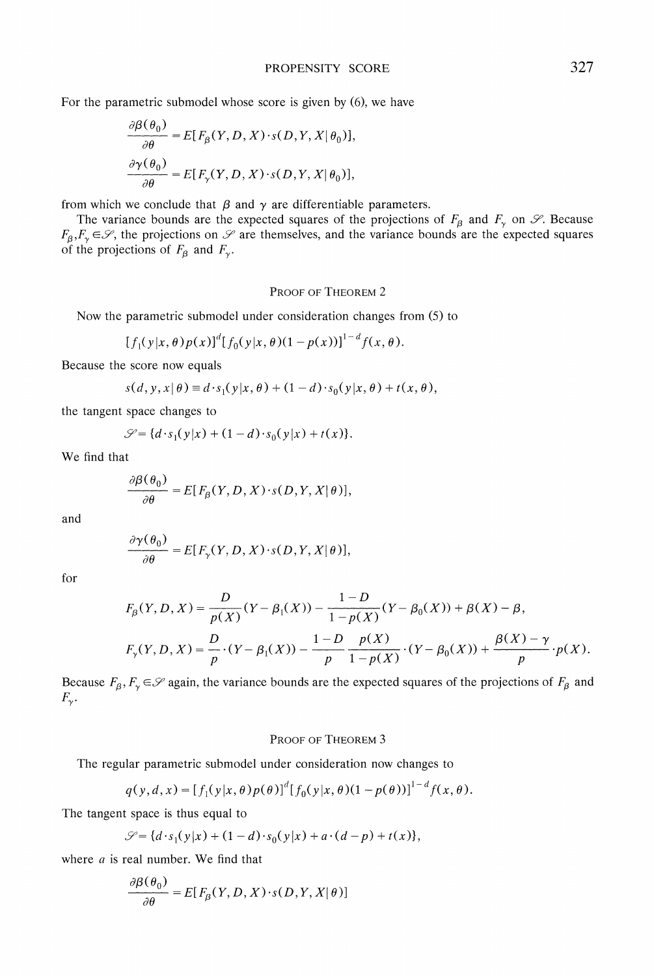**For the parametric submodel whose score is given by (6), we have** 

$$
\frac{\partial \beta(\theta_0)}{\partial \theta} = E[F_{\beta}(Y, D, X) \cdot s(D, Y, X | \theta_0)],
$$

$$
\frac{\partial \gamma(\theta_0)}{\partial \theta} = E[F_{\gamma}(Y, D, X) \cdot s(D, Y, X | \theta_0)],
$$

from which we conclude that  $\beta$  and  $\gamma$  are differentiable parameters.

The variance bounds are the expected squares of the projections of  $F_\beta$  and  $F_\gamma$  on  $\mathscr{S}$ . Because  $F_1, F_2 \in \mathcal{S}$ , the projections on  $\mathcal{S}$  are themselves, and the variance bounds are the expected squares of the projections of  $F_\beta$  and  $F_\gamma$ .

### **PROOF OF THEOREM 2**

**Now the parametric submodel under consideration changes from (5) to** 

$$
[f_1(y|x,\theta)p(x)]^d[f_0(y|x,\theta)(1-p(x))]^{1-d}f(x,\theta).
$$

**Because the score now equals** 

$$
s(d, y, x | \theta) \equiv d \cdot s_1(y | x, \theta) + (1 - d) \cdot s_0(y | x, \theta) + t(x, \theta),
$$

**the tangent space changes to** 

$$
\mathcal{S} = \{d \cdot s_1(y|x) + (1 - d) \cdot s_0(y|x) + t(x)\}.
$$

**We find that** 

$$
\frac{\partial \beta(\theta_0)}{\partial \theta} = E[F_\beta(Y, D, X) \cdot s(D, Y, X | \theta)],
$$

**and** 

$$
\frac{\partial \gamma(\theta_0)}{\partial \theta} = E[F_{\gamma}(Y, D, X) \cdot s(D, Y, X | \theta)],
$$

**for** 

$$
\begin{split} &F_{\beta}(Y,D,X)=\frac{D}{p(X)}(Y-\beta_1(X))-\frac{1-D}{1-p(X)}(Y-\beta_0(X))+\beta(X)-\beta,\\ &F_{\gamma}(Y,D,X)=\frac{D}{p}\cdot(Y-\beta_1(X))-\frac{1-D}{p}\frac{p(X)}{1-p(X)}\cdot(Y-\beta_0(X))+\frac{\beta(X)-\gamma}{p}\cdot p(X). \end{split}
$$

Because  $F_\beta, F_\gamma \in \mathcal{S}$  again, the variance bounds are the expected squares of the projections of  $F_\beta$  and  $F_{\nu}$ .

## **PROOF OF THEOREM 3**

**The regular parametric submodel under consideration now changes to** 

$$
q(y, d, x) = [f_1(y|x, \theta) p(\theta)]^d [f_0(y|x, \theta) (1 - p(\theta))]^{1 - d} f(x, \theta).
$$

**The tangent space is thus equal to** 

$$
\mathcal{S} = \{d \cdot s_1(y|x) + (1-d) \cdot s_0(y|x) + a \cdot (d-p) + t(x)\},\
$$

**where a is real number. We find that** 

$$
\frac{\partial \beta(\theta_0)}{\partial \theta} = E[F_\beta(Y, D, X) \cdot s(D, Y, X | \theta)]
$$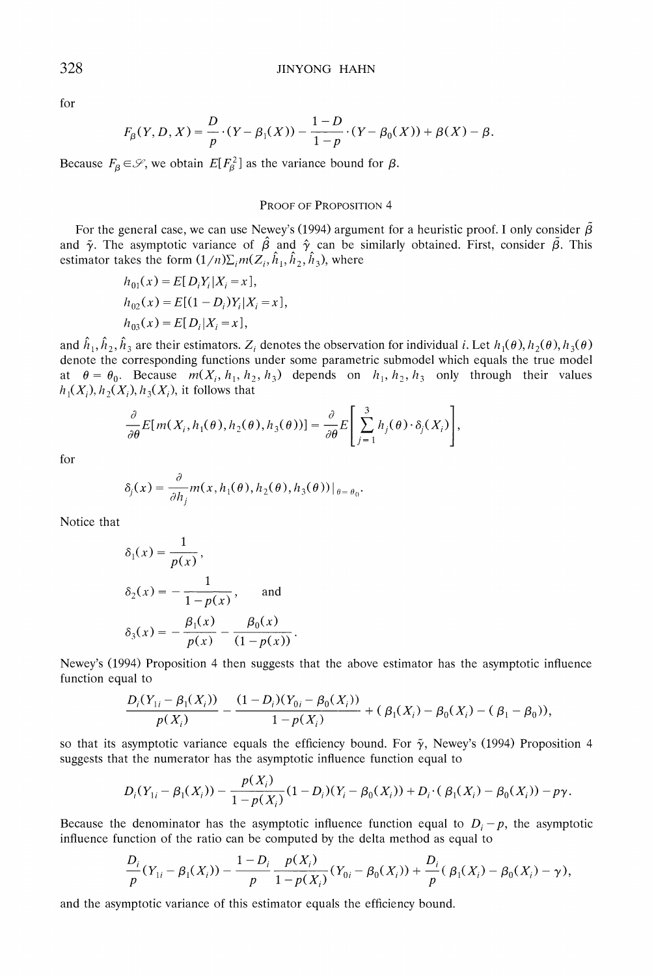**for** 

$$
F_{\beta}(Y, D, X) = \frac{D}{p} \cdot (Y - \beta_1(X)) - \frac{1 - D}{1 - p} \cdot (Y - \beta_0(X)) + \beta(X) - \beta.
$$

Because  $F_{\beta} \in \mathcal{S}$ , we obtain  $E[F_{\beta}^2]$  as the variance bound for  $\beta$ .

### **PROOF OF PROPOSITION 4**

For the general case, we can use Newey's (1994) argument for a heuristic proof. I only consider  $\beta$ and  $\tilde{\gamma}$ . The asymptotic variance of  $\hat{\beta}$  and  $\hat{\gamma}$  can be similarly obtained. First, consider  $\tilde{\beta}$ . This estimator takes the form  $(1/n)\sum_i m(Z_i, \hat{h}_1, \hat{h}_2, \hat{h}_3)$ , where

$$
h_{01}(x) = E[D_i Y_i | X_i = x],
$$
  
\n
$$
h_{02}(x) = E[(1 - D_i)Y_i | X_i = x],
$$
  
\n
$$
h_{03}(x) = E[D_i | X_i = x],
$$

and  $\hat{h}_1, \hat{h}_2, \hat{h}_3$  are their estimators.  $Z_i$  denotes the observation for individual *i*. Let  $h_1(\theta), h_2(\theta), h_3(\theta)$ **denote the corresponding functions under some parametric submodel which equals the true model**  at  $\theta = \theta_0$ . Because  $m(X_i, h_1, h_2, h_3)$  depends on  $h_1, h_2, h_3$  only through their values  $h_1(X_i)$ ,  $h_2(X_i)$ ,  $h_3(X_i)$ , it follows that

$$
\frac{\partial}{\partial \theta} E[m(X_i, h_1(\theta), h_2(\theta), h_3(\theta))] = \frac{\partial}{\partial \theta} E\left[\sum_{j=1}^3 h_j(\theta) \cdot \delta_j(X_i)\right],
$$

**for** 

$$
\delta_j(x) = \frac{\partial}{\partial h_j} m(x, h_1(\theta), h_2(\theta), h_3(\theta))|_{\theta = \theta_0}.
$$

**Notice that** 

$$
\delta_1(x) = \frac{1}{p(x)},
$$
  
\n
$$
\delta_2(x) = -\frac{1}{1 - p(x)},
$$
 and  
\n
$$
\delta_3(x) = -\frac{\beta_1(x)}{p(x)} - \frac{\beta_0(x)}{(1 - p(x))}.
$$

**Newey's (1994) Proposition 4 then suggests that the above estimator has the asymptotic influence function equal to** 

$$
\frac{D_i(Y_{1i} - \beta_1(X_i))}{p(X_i)} - \frac{(1 - D_i)(Y_{0i} - \beta_0(X_i))}{1 - p(X_i)} + (\beta_1(X_i) - \beta_0(X_i) - (\beta_1 - \beta_0)),
$$

so that its asymptotic variance equals the efficiency bound. For  $\tilde{\gamma}$ , Newey's (1994) Proposition 4 **suggests that the numerator has the asymptotic influence function equal to** 

$$
D_i(Y_{1i} - \beta_1(X_i)) - \frac{p(X_i)}{1 - p(X_i)}(1 - D_i)(Y_i - \beta_0(X_i)) + D_i \cdot (\beta_1(X_i) - \beta_0(X_i)) - p\gamma.
$$

Because the denominator has the asymptotic influence function equal to  $D_i - p$ , the asymptotic **influence function of the ratio can be computed by the delta method as equal to** 

$$
\frac{D_i}{p}(Y_{1i} - \beta_1(X_i)) - \frac{1 - D_i}{p} \frac{p(X_i)}{1 - p(X_i)}(Y_{0i} - \beta_0(X_i)) + \frac{D_i}{p}(\beta_1(X_i) - \beta_0(X_i) - \gamma),
$$

**and the asymptotic variance of this estimator equals the efficiency bound.**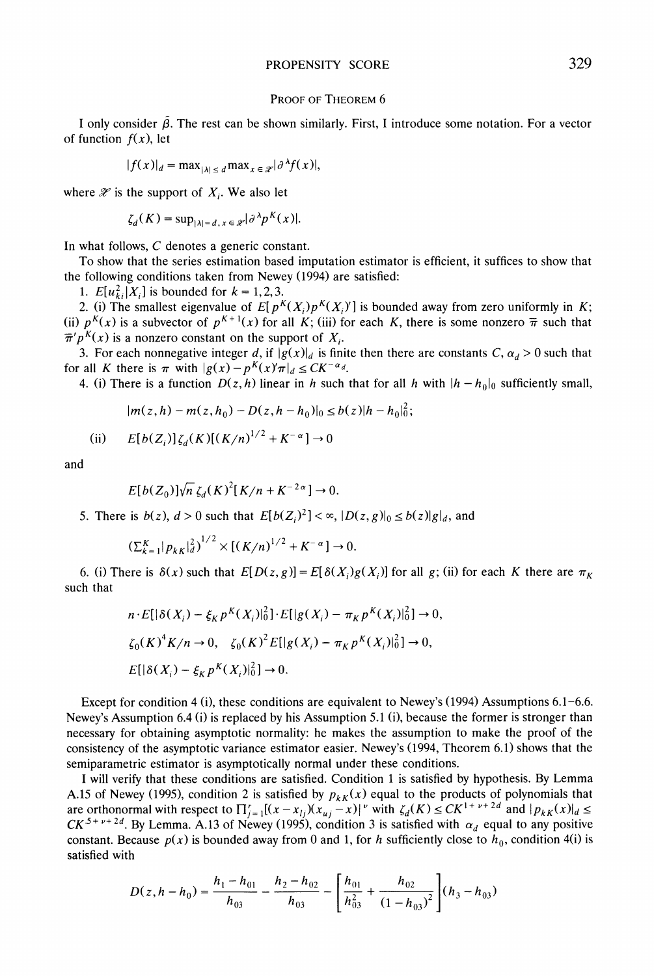### **PROOF OF THEOREM 6**

I only consider  $\tilde{\beta}$ . The rest can be shown similarly. First, I introduce some notation. For a vector of function  $f(x)$ , let

$$
|f(x)|_d = \max_{|\lambda| \le d} \max_{x \in \mathcal{X}} |\partial^{\lambda} f(x)|,
$$

where  $\mathscr X$  is the support of  $X_i$ . We also let

$$
\zeta_d(K) = \sup_{|\lambda|=d, x \in \mathcal{D}} |\partial^{\lambda} p^{K}(x)|.
$$

**In what follows, C denotes a generic constant.** 

**To show that the series estimation based imputation estimator is efficient, it suffices to show that the following conditions taken from Newey (1994) are satisfied:** 

1.  $E[u_{ki}^2|X_i]$  is bounded for  $k = 1, 2, 3$ .

2. (i) The smallest eigenvalue of  $E[p^{K}(X_i)p^{K}(X_i)]$  is bounded away from zero uniformly in K; (ii)  $p^{K}(x)$  is a subvector of  $p^{K+1}(x)$  for all K; (iii) for each K, there is some nonzero  $\bar{\pi}$  such that  $\overline{\pi}^{\prime} p^{K}(x)$  is a nonzero constant on the support of  $X_i$ .

**3.** For each nonnegative integer d, if  $|g(x)|_d$  is finite then there are constants C,  $\alpha_d > 0$  such that for all K there is  $\pi$  with  $|g(x) - p^{K}(x)\pi|_{d} \leq CK^{-\alpha_d}$ .

**4. (i) There is a function**  $D(z, h)$  **linear in h such that for all h with**  $|h - h_0|_0$  **sufficiently small,** 

$$
|m(z,h)-m(z,h_0)-D(z,h-h_0)|_0\leq b(z)|h-h_0|_0^2;
$$

(ii) 
$$
E[b(Z_i)]\zeta_d(K)[(K/n)^{1/2} + K^{-\alpha}] \to 0
$$

**and** 

$$
E[b(Z_0)]\sqrt{n}\,\zeta_d(K)^2[K/n+K^{-2\alpha}]\to 0.
$$

5. There is  $b(z)$ ,  $d > 0$  such that  $E[b(Z_i)^2] < \infty$ ,  $|D(z, g)|_0 \le b(z)|g|_d$ , and

$$
\big(\Sigma_{k=1}^K|p_{kK}|_d^2\big)^{1/2}\times \big[(K/n)^{1/2}+K^{-\alpha}\big]\to 0
$$

6. (i) There is  $\delta(x)$  such that  $E[D(z, g)] = E[\delta(X_i)g(X_i)]$  for all g; (ii) for each K there are  $\pi_K$ **such that** 

$$
n \cdot E[|\delta(X_i) - \xi_K p^K(X_i)|_0^2] \cdot E[|g(X_i) - \pi_K p^K(X_i)|_0^2] \to 0,
$$
  
\n
$$
\zeta_0(K)^4 K/n \to 0, \quad \zeta_0(K)^2 E[|g(X_i) - \pi_K p^K(X_i)|_0^2] \to 0,
$$
  
\n
$$
E[|\delta(X_i) - \xi_K p^K(X_i)|_0^2] \to 0.
$$

**Except for condition 4 (i), these conditions are equivalent to Newey's (1994) Assumptions 6.1-6.6. Newey's Assumption 6.4 (i) is replaced by his Assumption 5.1 (i), because the former is stronger than necessary for obtaining asymptotic normality: he makes the assumption to make the proof of the consistency of the asymptotic variance estimator easier. Newey's (1994, Theorem 6.1) shows that the semiparametric estimator is asymptotically normal under these conditions.** 

**I will verify that these conditions are satisfied. Condition 1 is satisfied by hypothesis. By Lemma**  A.15 of Newey (1995), condition 2 is satisfied by  $p_{kk}(x)$  equal to the products of polynomials that are orthonormal with respect to  $\prod_{j=1}^{r}[(x-x_{lj})(x_{uj}-x)]^{v}$  with  $\zeta_{d}(K) \leq CK^{1+v+2d}$  and  $|p_{kK}(x)|_{d} \leq$  $CK^{5+\nu+2d}$ . By Lemma. A.13 of Newey (1995), condition 3 is satisfied with  $\alpha_d$  equal to any positive constant. Because  $p(x)$  is bounded away from 0 and 1, for h sufficiently close to  $h_0$ , condition 4(i) is **satisfied with** 

$$
D(z, h - h_0) = \frac{h_1 - h_{01}}{h_{03}} - \frac{h_2 - h_{02}}{h_{03}} - \left[\frac{h_{01}}{h_{03}^2} + \frac{h_{02}}{(1 - h_{03})^2}\right] (h_3 - h_{03})
$$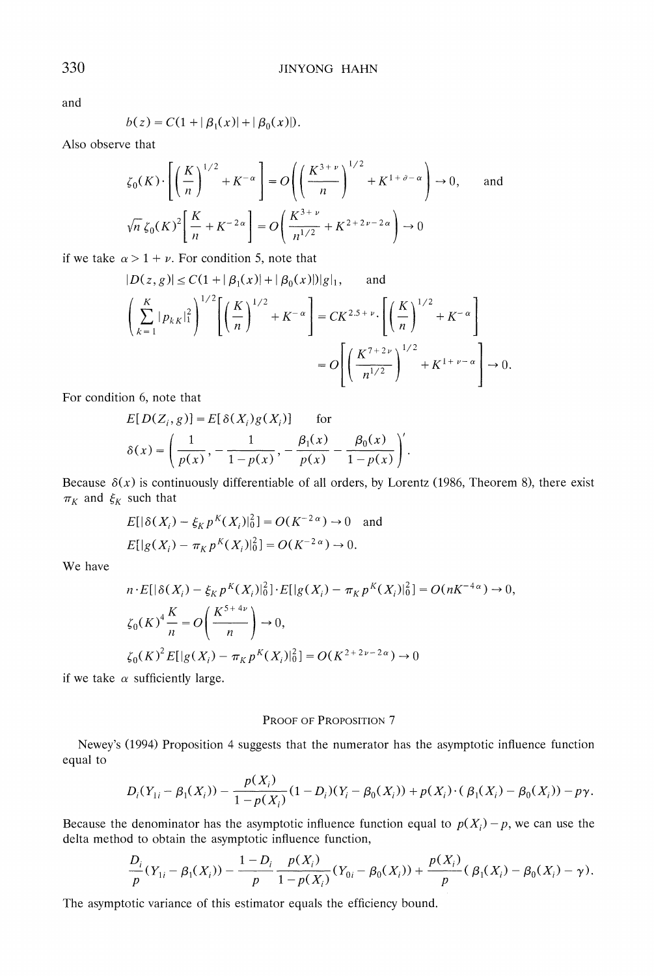**and** 

$$
b(z) = C(1 + |\beta_1(x)| + |\beta_0(x)|).
$$

**Also observe that** 

$$
\zeta_0(K) \cdot \left[ \left( \frac{K}{n} \right)^{1/2} + K^{-\alpha} \right] = O \left( \left( \frac{K^{3+\nu}}{n} \right)^{1/2} + K^{1+\delta-\alpha} \right) \to 0, \quad \text{and}
$$
  

$$
\sqrt{n} \zeta_0(K)^2 \left[ \frac{K}{n} + K^{-2\alpha} \right] = O \left( \frac{K^{3+\nu}}{n^{1/2}} + K^{2+2\nu-2\alpha} \right) \to 0
$$

if we take  $\alpha > 1 + \nu$ . For condition 5, note that

$$
|D(z, g)| \le C(1 + |\beta_1(x)| + |\beta_0(x)|) |g|_1, \text{ and}
$$
  

$$
\left(\sum_{k=1}^K |p_{kk}|_1^2\right)^{1/2} \left[\left(\frac{K}{n}\right)^{1/2} + K^{-\alpha}\right] = CK^{2.5+\nu} \cdot \left[\left(\frac{K}{n}\right)^{1/2} + K^{-\alpha}\right]
$$
  

$$
= O\left[\left(\frac{K^{7+2\nu}}{n^{1/2}}\right)^{1/2} + K^{1+\nu-\alpha}\right] \to 0.
$$

**For condition 6, note that** 

$$
E[D(Z_i, g)] = E[\delta(X_i)g(X_i)] \quad \text{for}
$$

$$
\delta(x) = \left(\frac{1}{p(x)}, -\frac{1}{1-p(x)}, -\frac{\beta_1(x)}{p(x)} - \frac{\beta_0(x)}{1-p(x)}\right).
$$

Because  $\delta(x)$  is continuously differentiable of all orders, by Lorentz (1986, Theorem 8), there exist  $\pi_K$  and  $\xi_K$  such that

$$
E[|\delta(X_i) - \xi_K p^K(X_i)|_0^2] = O(K^{-2\alpha}) \to 0 \text{ and}
$$
  

$$
E[|g(X_i) - \pi_K p^K(X_i)|_0^2] = O(K^{-2\alpha}) \to 0.
$$

**We have** 

$$
n \cdot E[|\delta(X_i) - \xi_K p^K(X_i)|_0^2] \cdot E[|g(X_i) - \pi_K p^K(X_i)|_0^2] = O(nK^{-4\alpha}) \to 0,
$$
  

$$
\zeta_0(K)^4 \frac{K}{n} = O\left(\frac{K^{5+4\nu}}{n}\right) \to 0,
$$
  

$$
\zeta_0(K)^2 E[|g(X_i) - \pi_K p^K(X_i)|_0^2] = O(K^{2+2\nu - 2\alpha}) \to 0
$$

if we take  $\alpha$  sufficiently large.

### **PROOF OF PROPOSITION 7**

**Newey's (1994) Proposition 4 suggests that the numerator has the asymptotic influence function equal to** 

$$
D_i(Y_{1i} - \beta_1(X_i)) - \frac{p(X_i)}{1 - p(X_i)}(1 - D_i)(Y_i - \beta_0(X_i)) + p(X_i) \cdot (\beta_1(X_i) - \beta_0(X_i)) - p\gamma.
$$

Because the denominator has the asymptotic influence function equal to  $p(X_i) - p$ , we can use the **delta method to obtain the asymptotic influence function,** 

$$
\frac{D_i}{p}(Y_{1i} - \beta_1(X_i)) - \frac{1 - D_i}{p} \frac{p(X_i)}{1 - p(X_i)} (Y_{0i} - \beta_0(X_i)) + \frac{p(X_i)}{p} (\beta_1(X_i) - \beta_0(X_i) - \gamma).
$$

The asymptotic variance of this estimator equals the efficiency bound.